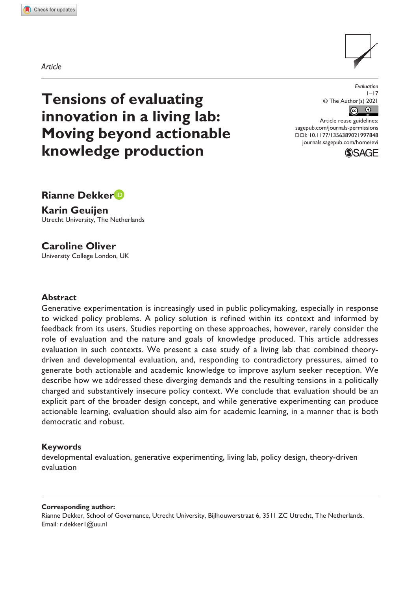*Article*



**Tensions of evaluating innovation in a living lab: Moving beyond actionable knowledge production**

*Evaluation*  $1 - 17$ © The Author(s) 2021  $\bigcirc$  $\odot$ 

DOI: 10.1177/1356389021997848 Article reuse guidelines: [sagepub.com/journals-permissions](https://uk.sagepub.com/en-gb/journals-permissions) [journals.sagepub.com/home/evi](https://journals.sagepub.com/home/evi)



**Rianne Dekker**

**Karin Geuijen** Utrecht University, The Netherlands

# **Caroline Oliver**

University College London, UK

### **Abstract**

Generative experimentation is increasingly used in public policymaking, especially in response to wicked policy problems. A policy solution is refined within its context and informed by feedback from its users. Studies reporting on these approaches, however, rarely consider the role of evaluation and the nature and goals of knowledge produced. This article addresses evaluation in such contexts. We present a case study of a living lab that combined theorydriven and developmental evaluation, and, responding to contradictory pressures, aimed to generate both actionable and academic knowledge to improve asylum seeker reception. We describe how we addressed these diverging demands and the resulting tensions in a politically charged and substantively insecure policy context. We conclude that evaluation should be an explicit part of the broader design concept, and while generative experimenting can produce actionable learning, evaluation should also aim for academic learning, in a manner that is both democratic and robust.

### **Keywords**

developmental evaluation, generative experimenting, living lab, policy design, theory-driven evaluation

#### **Corresponding author:**

Rianne Dekker, School of Governance, Utrecht University, Bijlhouwerstraat 6, 3511 ZC Utrecht, The Netherlands. Email: [r.dekker1@uu.nl](mailto:r.dekker1@uu.nl)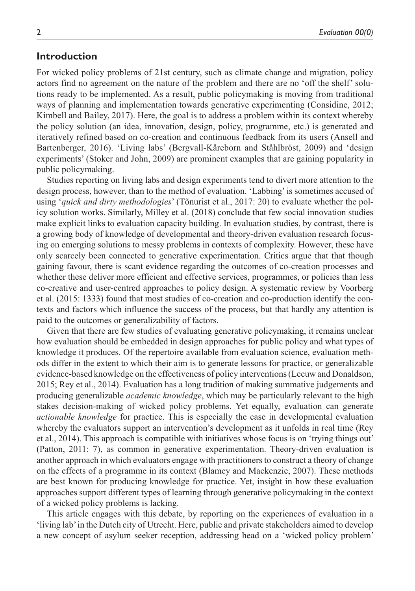## **Introduction**

For wicked policy problems of 21st century, such as climate change and migration, policy actors find no agreement on the nature of the problem and there are no 'off the shelf' solutions ready to be implemented. As a result, public policymaking is moving from traditional ways of planning and implementation towards generative experimenting (Considine, 2012; Kimbell and Bailey, 2017). Here, the goal is to address a problem within its context whereby the policy solution (an idea, innovation, design, policy, programme, etc.) is generated and iteratively refined based on co-creation and continuous feedback from its users (Ansell and Bartenberger, 2016). 'Living labs' (Bergvall-Kåreborn and Ståhlbröst, 2009) and 'design experiments' (Stoker and John, 2009) are prominent examples that are gaining popularity in public policymaking.

Studies reporting on living labs and design experiments tend to divert more attention to the design process, however, than to the method of evaluation. 'Labbing' is sometimes accused of using '*quick and dirty methodologies*' (Tõnurist et al., 2017: 20) to evaluate whether the policy solution works. Similarly, Milley et al. (2018) conclude that few social innovation studies make explicit links to evaluation capacity building. In evaluation studies, by contrast, there is a growing body of knowledge of developmental and theory-driven evaluation research focusing on emerging solutions to messy problems in contexts of complexity. However, these have only scarcely been connected to generative experimentation. Critics argue that that though gaining favour, there is scant evidence regarding the outcomes of co-creation processes and whether these deliver more efficient and effective services, programmes, or policies than less co-creative and user-centred approaches to policy design. A systematic review by Voorberg et al. (2015: 1333) found that most studies of co-creation and co-production identify the contexts and factors which influence the success of the process, but that hardly any attention is paid to the outcomes or generalizability of factors.

Given that there are few studies of evaluating generative policymaking, it remains unclear how evaluation should be embedded in design approaches for public policy and what types of knowledge it produces. Of the repertoire available from evaluation science, evaluation methods differ in the extent to which their aim is to generate lessons for practice, or generalizable evidence-based knowledge on the effectiveness of policy interventions (Leeuw and Donaldson, 2015; Rey et al., 2014). Evaluation has a long tradition of making summative judgements and producing generalizable *academic knowledge*, which may be particularly relevant to the high stakes decision-making of wicked policy problems. Yet equally, evaluation can generate *actionable knowledge* for practice. This is especially the case in developmental evaluation whereby the evaluators support an intervention's development as it unfolds in real time (Rey et al., 2014). This approach is compatible with initiatives whose focus is on 'trying things out' (Patton, 2011: 7), as common in generative experimentation. Theory-driven evaluation is another approach in which evaluators engage with practitioners to construct a theory of change on the effects of a programme in its context (Blamey and Mackenzie, 2007). These methods are best known for producing knowledge for practice. Yet, insight in how these evaluation approaches support different types of learning through generative policymaking in the context of a wicked policy problems is lacking.

This article engages with this debate, by reporting on the experiences of evaluation in a 'living lab' in the Dutch city of Utrecht. Here, public and private stakeholders aimed to develop a new concept of asylum seeker reception, addressing head on a 'wicked policy problem'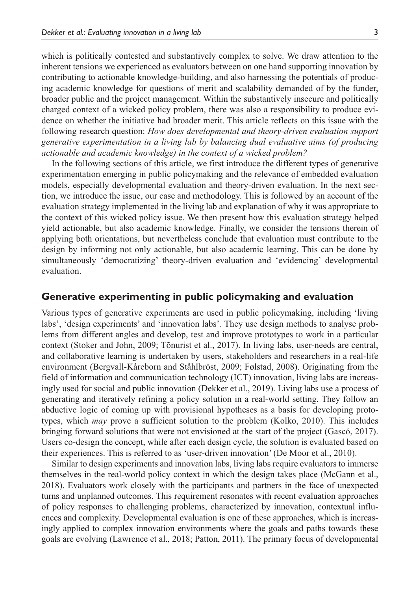which is politically contested and substantively complex to solve. We draw attention to the inherent tensions we experienced as evaluators between on one hand supporting innovation by contributing to actionable knowledge-building, and also harnessing the potentials of producing academic knowledge for questions of merit and scalability demanded of by the funder, broader public and the project management. Within the substantively insecure and politically charged context of a wicked policy problem, there was also a responsibility to produce evidence on whether the initiative had broader merit. This article reflects on this issue with the following research question: *How does developmental and theory-driven evaluation support generative experimentation in a living lab by balancing dual evaluative aims (of producing actionable and academic knowledge) in the context of a wicked problem?*

In the following sections of this article, we first introduce the different types of generative experimentation emerging in public policymaking and the relevance of embedded evaluation models, especially developmental evaluation and theory-driven evaluation. In the next section, we introduce the issue, our case and methodology. This is followed by an account of the evaluation strategy implemented in the living lab and explanation of why it was appropriate to the context of this wicked policy issue. We then present how this evaluation strategy helped yield actionable, but also academic knowledge. Finally, we consider the tensions therein of applying both orientations, but nevertheless conclude that evaluation must contribute to the design by informing not only actionable, but also academic learning. This can be done by simultaneously 'democratizing' theory-driven evaluation and 'evidencing' developmental evaluation.

### **Generative experimenting in public policymaking and evaluation**

Various types of generative experiments are used in public policymaking, including 'living labs', 'design experiments' and 'innovation labs'. They use design methods to analyse problems from different angles and develop, test and improve prototypes to work in a particular context (Stoker and John, 2009; Tõnurist et al., 2017). In living labs, user-needs are central, and collaborative learning is undertaken by users, stakeholders and researchers in a real-life environment (Bergvall-Kåreborn and Ståhlbröst, 2009; Følstad, 2008). Originating from the field of information and communication technology (ICT) innovation, living labs are increasingly used for social and public innovation (Dekker et al., 2019). Living labs use a process of generating and iteratively refining a policy solution in a real-world setting. They follow an abductive logic of coming up with provisional hypotheses as a basis for developing prototypes, which *may* prove a sufficient solution to the problem (Kolko, 2010). This includes bringing forward solutions that were not envisioned at the start of the project (Gascó, 2017). Users co-design the concept, while after each design cycle, the solution is evaluated based on their experiences. This is referred to as 'user-driven innovation' (De Moor et al., 2010).

Similar to design experiments and innovation labs, living labs require evaluators to immerse themselves in the real-world policy context in which the design takes place (McGann et al., 2018). Evaluators work closely with the participants and partners in the face of unexpected turns and unplanned outcomes. This requirement resonates with recent evaluation approaches of policy responses to challenging problems, characterized by innovation, contextual influences and complexity. Developmental evaluation is one of these approaches, which is increasingly applied to complex innovation environments where the goals and paths towards these goals are evolving (Lawrence et al., 2018; Patton, 2011). The primary focus of developmental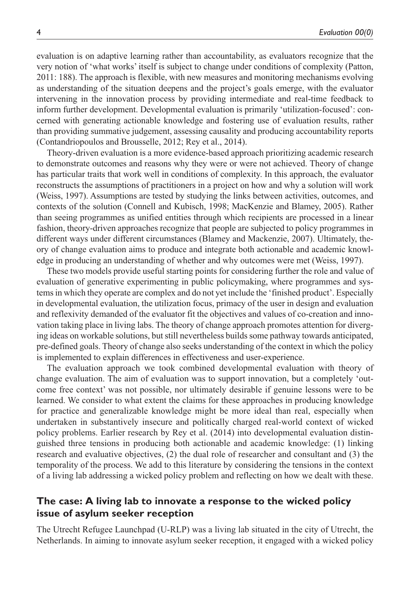evaluation is on adaptive learning rather than accountability, as evaluators recognize that the very notion of 'what works' itself is subject to change under conditions of complexity (Patton, 2011: 188). The approach is flexible, with new measures and monitoring mechanisms evolving as understanding of the situation deepens and the project's goals emerge, with the evaluator intervening in the innovation process by providing intermediate and real-time feedback to inform further development. Developmental evaluation is primarily 'utilization-focused': concerned with generating actionable knowledge and fostering use of evaluation results, rather than providing summative judgement, assessing causality and producing accountability reports (Contandriopoulos and Brousselle, 2012; Rey et al., 2014).

Theory-driven evaluation is a more evidence-based approach prioritizing academic research to demonstrate outcomes and reasons why they were or were not achieved. Theory of change has particular traits that work well in conditions of complexity. In this approach, the evaluator reconstructs the assumptions of practitioners in a project on how and why a solution will work (Weiss, 1997). Assumptions are tested by studying the links between activities, outcomes, and contexts of the solution (Connell and Kubisch, 1998; MacKenzie and Blamey, 2005). Rather than seeing programmes as unified entities through which recipients are processed in a linear fashion, theory-driven approaches recognize that people are subjected to policy programmes in different ways under different circumstances (Blamey and Mackenzie, 2007). Ultimately, theory of change evaluation aims to produce and integrate both actionable and academic knowledge in producing an understanding of whether and why outcomes were met (Weiss, 1997).

These two models provide useful starting points for considering further the role and value of evaluation of generative experimenting in public policymaking, where programmes and systems in which they operate are complex and do not yet include the 'finished product'. Especially in developmental evaluation, the utilization focus, primacy of the user in design and evaluation and reflexivity demanded of the evaluator fit the objectives and values of co-creation and innovation taking place in living labs. The theory of change approach promotes attention for diverging ideas on workable solutions, but still nevertheless builds some pathway towards anticipated, pre-defined goals. Theory of change also seeks understanding of the context in which the policy is implemented to explain differences in effectiveness and user-experience.

The evaluation approach we took combined developmental evaluation with theory of change evaluation. The aim of evaluation was to support innovation, but a completely 'outcome free context' was not possible, nor ultimately desirable if genuine lessons were to be learned. We consider to what extent the claims for these approaches in producing knowledge for practice and generalizable knowledge might be more ideal than real, especially when undertaken in substantively insecure and politically charged real-world context of wicked policy problems. Earlier research by Rey et al. (2014) into developmental evaluation distinguished three tensions in producing both actionable and academic knowledge: (1) linking research and evaluative objectives, (2) the dual role of researcher and consultant and (3) the temporality of the process. We add to this literature by considering the tensions in the context of a living lab addressing a wicked policy problem and reflecting on how we dealt with these.

# **The case: A living lab to innovate a response to the wicked policy issue of asylum seeker reception**

The Utrecht Refugee Launchpad (U-RLP) was a living lab situated in the city of Utrecht, the Netherlands. In aiming to innovate asylum seeker reception, it engaged with a wicked policy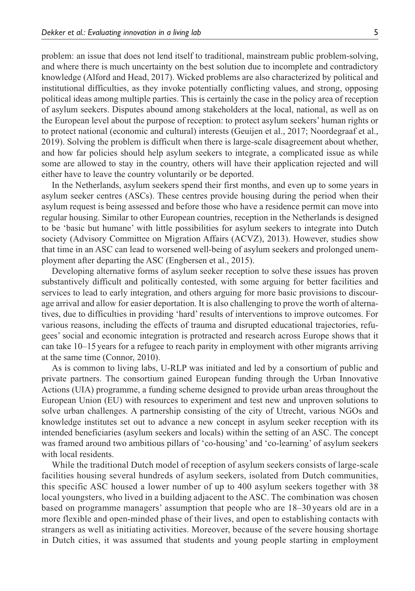problem: an issue that does not lend itself to traditional, mainstream public problem-solving, and where there is much uncertainty on the best solution due to incomplete and contradictory knowledge (Alford and Head, 2017). Wicked problems are also characterized by political and institutional difficulties, as they invoke potentially conflicting values, and strong, opposing political ideas among multiple parties. This is certainly the case in the policy area of reception of asylum seekers. Disputes abound among stakeholders at the local, national, as well as on the European level about the purpose of reception: to protect asylum seekers' human rights or to protect national (economic and cultural) interests (Geuijen et al., 2017; Noordegraaf et al., 2019). Solving the problem is difficult when there is large-scale disagreement about whether, and how far policies should help asylum seekers to integrate, a complicated issue as while some are allowed to stay in the country, others will have their application rejected and will either have to leave the country voluntarily or be deported.

In the Netherlands, asylum seekers spend their first months, and even up to some years in asylum seeker centres (ASCs). These centres provide housing during the period when their asylum request is being assessed and before those who have a residence permit can move into regular housing. Similar to other European countries, reception in the Netherlands is designed to be 'basic but humane' with little possibilities for asylum seekers to integrate into Dutch society (Advisory Committee on Migration Affairs (ACVZ), 2013). However, studies show that time in an ASC can lead to worsened well-being of asylum seekers and prolonged unemployment after departing the ASC (Engbersen et al., 2015).

Developing alternative forms of asylum seeker reception to solve these issues has proven substantively difficult and politically contested, with some arguing for better facilities and services to lead to early integration, and others arguing for more basic provisions to discourage arrival and allow for easier deportation. It is also challenging to prove the worth of alternatives, due to difficulties in providing 'hard' results of interventions to improve outcomes. For various reasons, including the effects of trauma and disrupted educational trajectories, refugees' social and economic integration is protracted and research across Europe shows that it can take 10–15 years for a refugee to reach parity in employment with other migrants arriving at the same time (Connor, 2010).

As is common to living labs, U-RLP was initiated and led by a consortium of public and private partners. The consortium gained European funding through the Urban Innovative Actions (UIA) programme, a funding scheme designed to provide urban areas throughout the European Union (EU) with resources to experiment and test new and unproven solutions to solve urban challenges. A partnership consisting of the city of Utrecht, various NGOs and knowledge institutes set out to advance a new concept in asylum seeker reception with its intended beneficiaries (asylum seekers and locals) within the setting of an ASC. The concept was framed around two ambitious pillars of 'co-housing' and 'co-learning' of asylum seekers with local residents.

While the traditional Dutch model of reception of asylum seekers consists of large-scale facilities housing several hundreds of asylum seekers, isolated from Dutch communities, this specific ASC housed a lower number of up to 400 asylum seekers together with 38 local youngsters, who lived in a building adjacent to the ASC. The combination was chosen based on programme managers' assumption that people who are 18–30 years old are in a more flexible and open-minded phase of their lives, and open to establishing contacts with strangers as well as initiating activities. Moreover, because of the severe housing shortage in Dutch cities, it was assumed that students and young people starting in employment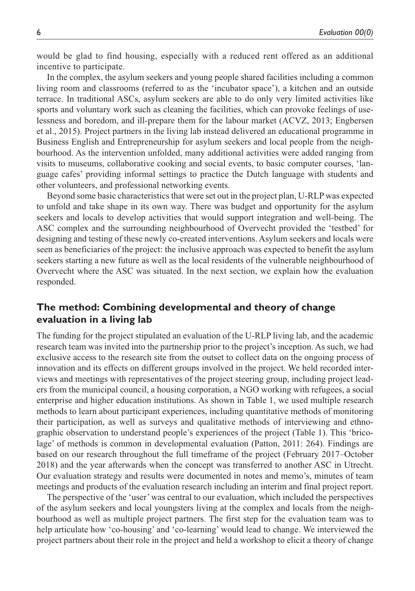would be glad to find housing, especially with a reduced rent offered as an additional incentive to participate.

In the complex, the asylum seekers and young people shared facilities including a common living room and classrooms (referred to as the 'incubator space'), a kitchen and an outside terrace. In traditional ASCs, asylum seekers are able to do only very limited activities like sports and voluntary work such as cleaning the facilities, which can provoke feelings of uselessness and boredom, and ill-prepare them for the labour market (ACVZ, 2013; Engbersen et al., 2015). Project partners in the living lab instead delivered an educational programme in Business English and Entrepreneurship for asylum seekers and local people from the neighbourhood. As the intervention unfolded, many additional activities were added ranging from visits to museums, collaborative cooking and social events, to basic computer courses, 'language cafes' providing informal settings to practice the Dutch language with students and other volunteers, and professional networking events.

Beyond some basic characteristics that were set out in the project plan, U-RLP was expected to unfold and take shape in its own way. There was budget and opportunity for the asylum seekers and locals to develop activities that would support integration and well-being. The ASC complex and the surrounding neighbourhood of Overvecht provided the 'testbed' for designing and testing of these newly co-created interventions. Asylum seekers and locals were seen as beneficiaries of the project: the inclusive approach was expected to benefit the asylum seekers starting a new future as well as the local residents of the vulnerable neighbourhood of Overvecht where the ASC was situated. In the next section, we explain how the evaluation responded.

# **The method: Combining developmental and theory of change evaluation in a living lab**

The funding for the project stipulated an evaluation of the U-RLP living lab, and the academic research team was invited into the partnership prior to the project's inception. As such, we had exclusive access to the research site from the outset to collect data on the ongoing process of innovation and its effects on different groups involved in the project. We held recorded interviews and meetings with representatives of the project steering group, including project leaders from the municipal council, a housing corporation, a NGO working with refugees, a social enterprise and higher education institutions. As shown in Table 1, we used multiple research methods to learn about participant experiences, including quantitative methods of monitoring their participation, as well as surveys and qualitative methods of interviewing and ethnographic observation to understand people's experiences of the project (Table 1). This 'bricolage' of methods is common in developmental evaluation (Patton, 2011: 264). Findings are based on our research throughout the full timeframe of the project (February 2017–October 2018) and the year afterwards when the concept was transferred to another ASC in Utrecht. Our evaluation strategy and results were documented in notes and memo's, minutes of team meetings and products of the evaluation research including an interim and final project report.

The perspective of the 'user' was central to our evaluation, which included the perspectives of the asylum seekers and local youngsters living at the complex and locals from the neighbourhood as well as multiple project partners. The first step for the evaluation team was to help articulate how 'co-housing' and 'co-learning' would lead to change. We interviewed the project partners about their role in the project and held a workshop to elicit a theory of change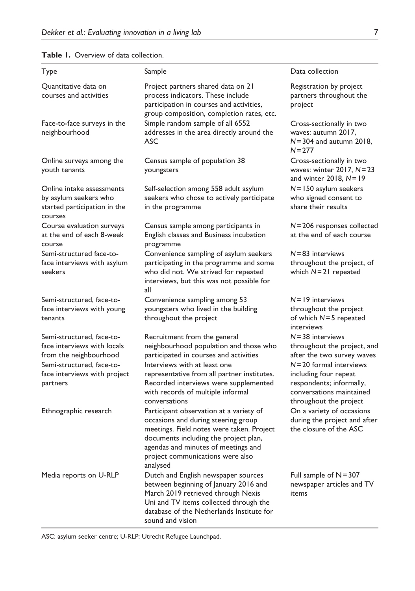| Type                                                                                                                                                        | Sample                                                                                                                                                                                                                                                                                         | Data collection                                                                                                                                                                                                           |
|-------------------------------------------------------------------------------------------------------------------------------------------------------------|------------------------------------------------------------------------------------------------------------------------------------------------------------------------------------------------------------------------------------------------------------------------------------------------|---------------------------------------------------------------------------------------------------------------------------------------------------------------------------------------------------------------------------|
| Quantitative data on<br>courses and activities                                                                                                              | Project partners shared data on 21<br>process indicators. These include<br>participation in courses and activities,<br>group composition, completion rates, etc.                                                                                                                               | Registration by project<br>partners throughout the<br>project                                                                                                                                                             |
| Face-to-face surveys in the<br>neighbourhood                                                                                                                | Simple random sample of all 6552<br>addresses in the area directly around the<br>ASC                                                                                                                                                                                                           | Cross-sectionally in two<br>waves: autumn 2017,<br>$N = 304$ and autumn 2018.<br>$N = 277$                                                                                                                                |
| Online surveys among the<br>youth tenants                                                                                                                   | Census sample of population 38<br>youngsters                                                                                                                                                                                                                                                   | Cross-sectionally in two<br>waves: winter $2017$ , $N = 23$<br>and winter $2018$ , $N = 19$                                                                                                                               |
| Online intake assessments<br>by asylum seekers who<br>started participation in the<br>courses                                                               | Self-selection among 558 adult asylum<br>seekers who chose to actively participate<br>in the programme                                                                                                                                                                                         | $N = 150$ asylum seekers<br>who signed consent to<br>share their results                                                                                                                                                  |
| Course evaluation surveys<br>at the end of each 8-week<br>course                                                                                            | Census sample among participants in<br>English classes and Business incubation<br>programme                                                                                                                                                                                                    | $N = 206$ responses collected<br>at the end of each course                                                                                                                                                                |
| Semi-structured face-to-<br>face interviews with asylum<br>seekers                                                                                          | Convenience sampling of asylum seekers<br>participating in the programme and some<br>who did not. We strived for repeated<br>interviews, but this was not possible for<br>all                                                                                                                  | $N = 83$ interviews<br>throughout the project, of<br>which $N = 21$ repeated                                                                                                                                              |
| Semi-structured, face-to-<br>face interviews with young<br>tenants                                                                                          | Convenience sampling among 53<br>youngsters who lived in the building<br>throughout the project                                                                                                                                                                                                | $N = 19$ interviews<br>throughout the project<br>of which $N=5$ repeated<br>interviews                                                                                                                                    |
| Semi-structured, face-to-<br>face interviews with locals<br>from the neighbourhood<br>Semi-structured, face-to-<br>face interviews with project<br>partners | Recruitment from the general<br>neighbourhood population and those who<br>participated in courses and activities<br>Interviews with at least one<br>representative from all partner institutes.<br>Recorded interviews were supplemented<br>with records of multiple informal<br>conversations | $N = 38$ interviews<br>throughout the project, and<br>after the two survey waves<br>$N = 20$ formal interviews<br>including four repeat<br>respondents; informally,<br>conversations maintained<br>throughout the project |
| Ethnographic research                                                                                                                                       | Participant observation at a variety of<br>occasions and during steering group<br>meetings. Field notes were taken. Project<br>documents including the project plan,<br>agendas and minutes of meetings and<br>project communications were also<br>analysed                                    | On a variety of occasions<br>during the project and after<br>the closure of the ASC                                                                                                                                       |
| Media reports on U-RLP                                                                                                                                      | Dutch and English newspaper sources<br>between beginning of January 2016 and<br>March 2019 retrieved through Nexis<br>Uni and TV items collected through the<br>database of the Netherlands Institute for<br>sound and vision                                                                  | Full sample of $N = 307$<br>newspaper articles and TV<br>items                                                                                                                                                            |

## **Table 1.** Overview of data collection.

ASC: asylum seeker centre; U-RLP: Utrecht Refugee Launchpad.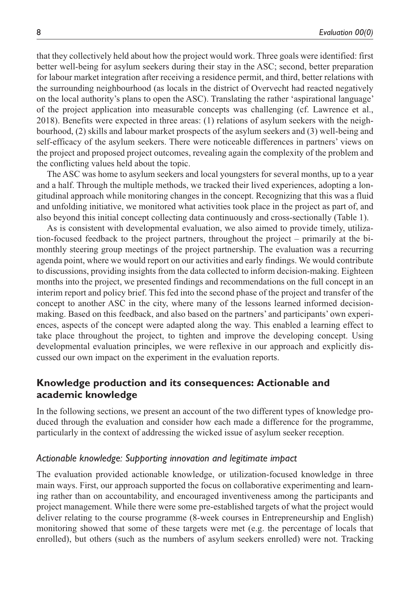that they collectively held about how the project would work. Three goals were identified: first better well-being for asylum seekers during their stay in the ASC; second, better preparation for labour market integration after receiving a residence permit, and third, better relations with the surrounding neighbourhood (as locals in the district of Overvecht had reacted negatively on the local authority's plans to open the ASC). Translating the rather 'aspirational language' of the project application into measurable concepts was challenging (cf. Lawrence et al., 2018). Benefits were expected in three areas: (1) relations of asylum seekers with the neighbourhood, (2) skills and labour market prospects of the asylum seekers and (3) well-being and self-efficacy of the asylum seekers. There were noticeable differences in partners' views on the project and proposed project outcomes, revealing again the complexity of the problem and the conflicting values held about the topic.

The ASC was home to asylum seekers and local youngsters for several months, up to a year and a half. Through the multiple methods, we tracked their lived experiences, adopting a longitudinal approach while monitoring changes in the concept. Recognizing that this was a fluid and unfolding initiative, we monitored what activities took place in the project as part of, and also beyond this initial concept collecting data continuously and cross-sectionally (Table 1).

As is consistent with developmental evaluation, we also aimed to provide timely, utilization-focused feedback to the project partners, throughout the project – primarily at the bimonthly steering group meetings of the project partnership. The evaluation was a recurring agenda point, where we would report on our activities and early findings. We would contribute to discussions, providing insights from the data collected to inform decision-making. Eighteen months into the project, we presented findings and recommendations on the full concept in an interim report and policy brief. This fed into the second phase of the project and transfer of the concept to another ASC in the city, where many of the lessons learned informed decisionmaking. Based on this feedback, and also based on the partners' and participants' own experiences, aspects of the concept were adapted along the way. This enabled a learning effect to take place throughout the project, to tighten and improve the developing concept. Using developmental evaluation principles, we were reflexive in our approach and explicitly discussed our own impact on the experiment in the evaluation reports.

# **Knowledge production and its consequences: Actionable and academic knowledge**

In the following sections, we present an account of the two different types of knowledge produced through the evaluation and consider how each made a difference for the programme, particularly in the context of addressing the wicked issue of asylum seeker reception.

### *Actionable knowledge: Supporting innovation and legitimate impact*

The evaluation provided actionable knowledge, or utilization-focused knowledge in three main ways. First, our approach supported the focus on collaborative experimenting and learning rather than on accountability, and encouraged inventiveness among the participants and project management. While there were some pre-established targets of what the project would deliver relating to the course programme (8-week courses in Entrepreneurship and English) monitoring showed that some of these targets were met (e.g. the percentage of locals that enrolled), but others (such as the numbers of asylum seekers enrolled) were not. Tracking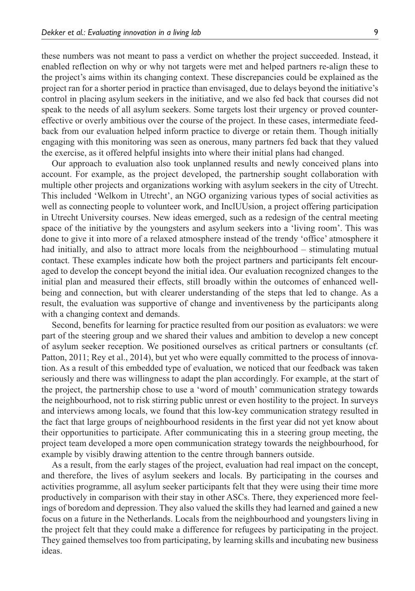these numbers was not meant to pass a verdict on whether the project succeeded. Instead, it enabled reflection on why or why not targets were met and helped partners re-align these to the project's aims within its changing context. These discrepancies could be explained as the project ran for a shorter period in practice than envisaged, due to delays beyond the initiative's control in placing asylum seekers in the initiative, and we also fed back that courses did not speak to the needs of all asylum seekers. Some targets lost their urgency or proved countereffective or overly ambitious over the course of the project. In these cases, intermediate feed-

back from our evaluation helped inform practice to diverge or retain them. Though initially engaging with this monitoring was seen as onerous, many partners fed back that they valued the exercise, as it offered helpful insights into where their initial plans had changed. Our approach to evaluation also took unplanned results and newly conceived plans into

account. For example, as the project developed, the partnership sought collaboration with multiple other projects and organizations working with asylum seekers in the city of Utrecht. This included 'Welkom in Utrecht', an NGO organizing various types of social activities as well as connecting people to volunteer work, and InclUUsion, a project offering participation in Utrecht University courses. New ideas emerged, such as a redesign of the central meeting space of the initiative by the youngsters and asylum seekers into a 'living room'. This was done to give it into more of a relaxed atmosphere instead of the trendy 'office' atmosphere it had initially, and also to attract more locals from the neighbourhood – stimulating mutual contact. These examples indicate how both the project partners and participants felt encouraged to develop the concept beyond the initial idea. Our evaluation recognized changes to the initial plan and measured their effects, still broadly within the outcomes of enhanced wellbeing and connection, but with clearer understanding of the steps that led to change. As a result, the evaluation was supportive of change and inventiveness by the participants along with a changing context and demands.

Second, benefits for learning for practice resulted from our position as evaluators: we were part of the steering group and we shared their values and ambition to develop a new concept of asylum seeker reception. We positioned ourselves as critical partners or consultants (cf. Patton, 2011; Rey et al., 2014), but yet who were equally committed to the process of innovation. As a result of this embedded type of evaluation, we noticed that our feedback was taken seriously and there was willingness to adapt the plan accordingly. For example, at the start of the project, the partnership chose to use a 'word of mouth' communication strategy towards the neighbourhood, not to risk stirring public unrest or even hostility to the project. In surveys and interviews among locals, we found that this low-key communication strategy resulted in the fact that large groups of neighbourhood residents in the first year did not yet know about their opportunities to participate. After communicating this in a steering group meeting, the project team developed a more open communication strategy towards the neighbourhood, for example by visibly drawing attention to the centre through banners outside.

As a result, from the early stages of the project, evaluation had real impact on the concept, and therefore, the lives of asylum seekers and locals. By participating in the courses and activities programme, all asylum seeker participants felt that they were using their time more productively in comparison with their stay in other ASCs. There, they experienced more feelings of boredom and depression. They also valued the skills they had learned and gained a new focus on a future in the Netherlands. Locals from the neighbourhood and youngsters living in the project felt that they could make a difference for refugees by participating in the project. They gained themselves too from participating, by learning skills and incubating new business ideas.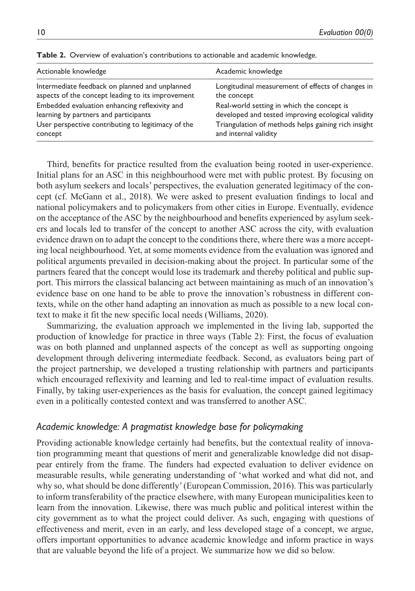| Actionable knowledge                               | Academic knowledge                                  |
|----------------------------------------------------|-----------------------------------------------------|
| Intermediate feedback on planned and unplanned     | Longitudinal measurement of effects of changes in   |
| aspects of the concept leading to its improvement  | the concept                                         |
| Embedded evaluation enhancing reflexivity and      | Real-world setting in which the concept is          |
| learning by partners and participants              | developed and tested improving ecological validity  |
| User perspective contributing to legitimacy of the | Triangulation of methods helps gaining rich insight |
| concept                                            | and internal validity                               |

**Table 2.** Overview of evaluation's contributions to actionable and academic knowledge.

Third, benefits for practice resulted from the evaluation being rooted in user-experience. Initial plans for an ASC in this neighbourhood were met with public protest. By focusing on both asylum seekers and locals' perspectives, the evaluation generated legitimacy of the concept (cf. McGann et al., 2018). We were asked to present evaluation findings to local and national policymakers and to policymakers from other cities in Europe. Eventually, evidence on the acceptance of the ASC by the neighbourhood and benefits experienced by asylum seekers and locals led to transfer of the concept to another ASC across the city, with evaluation evidence drawn on to adapt the concept to the conditions there, where there was a more accepting local neighbourhood. Yet, at some moments evidence from the evaluation was ignored and political arguments prevailed in decision-making about the project. In particular some of the partners feared that the concept would lose its trademark and thereby political and public support. This mirrors the classical balancing act between maintaining as much of an innovation's evidence base on one hand to be able to prove the innovation's robustness in different contexts, while on the other hand adapting an innovation as much as possible to a new local context to make it fit the new specific local needs (Williams, 2020).

Summarizing, the evaluation approach we implemented in the living lab, supported the production of knowledge for practice in three ways (Table 2): First, the focus of evaluation was on both planned and unplanned aspects of the concept as well as supporting ongoing development through delivering intermediate feedback. Second, as evaluators being part of the project partnership, we developed a trusting relationship with partners and participants which encouraged reflexivity and learning and led to real-time impact of evaluation results. Finally, by taking user-experiences as the basis for evaluation, the concept gained legitimacy even in a politically contested context and was transferred to another ASC.

## *Academic knowledge: A pragmatist knowledge base for policymaking*

Providing actionable knowledge certainly had benefits, but the contextual reality of innovation programming meant that questions of merit and generalizable knowledge did not disappear entirely from the frame. The funders had expected evaluation to deliver evidence on measurable results, while generating understanding of 'what worked and what did not, and why so, what should be done differently' (European Commission, 2016). This was particularly to inform transferability of the practice elsewhere, with many European municipalities keen to learn from the innovation. Likewise, there was much public and political interest within the city government as to what the project could deliver. As such, engaging with questions of effectiveness and merit, even in an early, and less developed stage of a concept, we argue, offers important opportunities to advance academic knowledge and inform practice in ways that are valuable beyond the life of a project. We summarize how we did so below.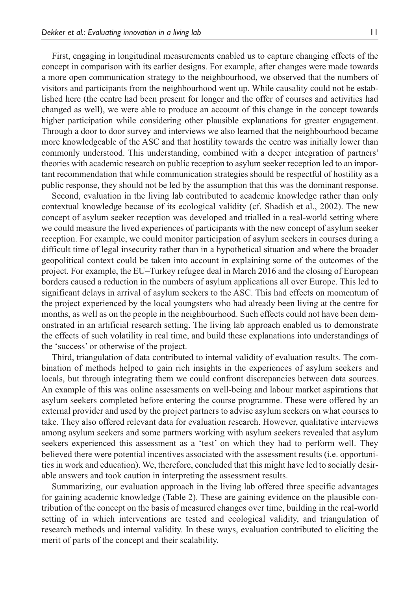First, engaging in longitudinal measurements enabled us to capture changing effects of the concept in comparison with its earlier designs. For example, after changes were made towards a more open communication strategy to the neighbourhood, we observed that the numbers of visitors and participants from the neighbourhood went up. While causality could not be established here (the centre had been present for longer and the offer of courses and activities had changed as well), we were able to produce an account of this change in the concept towards higher participation while considering other plausible explanations for greater engagement. Through a door to door survey and interviews we also learned that the neighbourhood became more knowledgeable of the ASC and that hostility towards the centre was initially lower than commonly understood. This understanding, combined with a deeper integration of partners' theories with academic research on public reception to asylum seeker reception led to an important recommendation that while communication strategies should be respectful of hostility as a public response, they should not be led by the assumption that this was the dominant response.

Second, evaluation in the living lab contributed to academic knowledge rather than only contextual knowledge because of its ecological validity (cf. Shadish et al., 2002). The new concept of asylum seeker reception was developed and trialled in a real-world setting where we could measure the lived experiences of participants with the new concept of asylum seeker reception. For example, we could monitor participation of asylum seekers in courses during a difficult time of legal insecurity rather than in a hypothetical situation and where the broader geopolitical context could be taken into account in explaining some of the outcomes of the project. For example, the EU–Turkey refugee deal in March 2016 and the closing of European borders caused a reduction in the numbers of asylum applications all over Europe. This led to significant delays in arrival of asylum seekers to the ASC. This had effects on momentum of the project experienced by the local youngsters who had already been living at the centre for months, as well as on the people in the neighbourhood. Such effects could not have been demonstrated in an artificial research setting. The living lab approach enabled us to demonstrate the effects of such volatility in real time, and build these explanations into understandings of the 'success' or otherwise of the project.

Third, triangulation of data contributed to internal validity of evaluation results. The combination of methods helped to gain rich insights in the experiences of asylum seekers and locals, but through integrating them we could confront discrepancies between data sources. An example of this was online assessments on well-being and labour market aspirations that asylum seekers completed before entering the course programme. These were offered by an external provider and used by the project partners to advise asylum seekers on what courses to take. They also offered relevant data for evaluation research. However, qualitative interviews among asylum seekers and some partners working with asylum seekers revealed that asylum seekers experienced this assessment as a 'test' on which they had to perform well. They believed there were potential incentives associated with the assessment results (i.e. opportunities in work and education). We, therefore, concluded that this might have led to socially desirable answers and took caution in interpreting the assessment results.

Summarizing, our evaluation approach in the living lab offered three specific advantages for gaining academic knowledge (Table 2). These are gaining evidence on the plausible contribution of the concept on the basis of measured changes over time, building in the real-world setting of in which interventions are tested and ecological validity, and triangulation of research methods and internal validity. In these ways, evaluation contributed to eliciting the merit of parts of the concept and their scalability.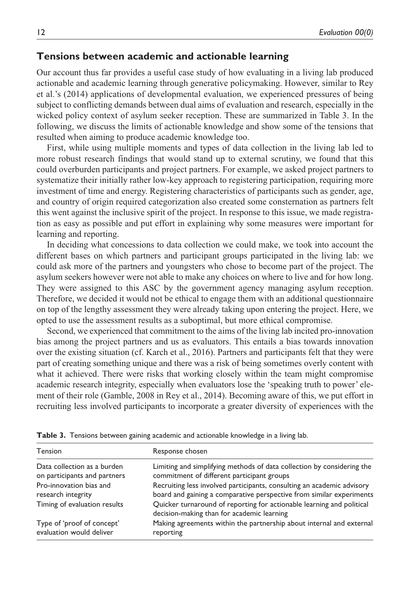## **Tensions between academic and actionable learning**

Our account thus far provides a useful case study of how evaluating in a living lab produced actionable and academic learning through generative policymaking. However, similar to Rey et al.'s (2014) applications of developmental evaluation, we experienced pressures of being subject to conflicting demands between dual aims of evaluation and research, especially in the wicked policy context of asylum seeker reception. These are summarized in Table 3. In the following, we discuss the limits of actionable knowledge and show some of the tensions that resulted when aiming to produce academic knowledge too.

First, while using multiple moments and types of data collection in the living lab led to more robust research findings that would stand up to external scrutiny, we found that this could overburden participants and project partners. For example, we asked project partners to systematize their initially rather low-key approach to registering participation, requiring more investment of time and energy. Registering characteristics of participants such as gender, age, and country of origin required categorization also created some consternation as partners felt this went against the inclusive spirit of the project. In response to this issue, we made registration as easy as possible and put effort in explaining why some measures were important for learning and reporting.

In deciding what concessions to data collection we could make, we took into account the different bases on which partners and participant groups participated in the living lab: we could ask more of the partners and youngsters who chose to become part of the project. The asylum seekers however were not able to make any choices on where to live and for how long. They were assigned to this ASC by the government agency managing asylum reception. Therefore, we decided it would not be ethical to engage them with an additional questionnaire on top of the lengthy assessment they were already taking upon entering the project. Here, we opted to use the assessment results as a suboptimal, but more ethical compromise.

Second, we experienced that commitment to the aims of the living lab incited pro-innovation bias among the project partners and us as evaluators. This entails a bias towards innovation over the existing situation (cf. Karch et al., 2016). Partners and participants felt that they were part of creating something unique and there was a risk of being sometimes overly content with what it achieved. There were risks that working closely within the team might compromise academic research integrity, especially when evaluators lose the 'speaking truth to power' element of their role (Gamble, 2008 in Rey et al., 2014). Becoming aware of this, we put effort in recruiting less involved participants to incorporate a greater diversity of experiences with the

| <b>Tension</b>               | Response chosen                                                                                                     |  |
|------------------------------|---------------------------------------------------------------------------------------------------------------------|--|
| Data collection as a burden  | Limiting and simplifying methods of data collection by considering the                                              |  |
| on participants and partners | commitment of different participant groups                                                                          |  |
| Pro-innovation bias and      | Recruiting less involved participants, consulting an academic advisory                                              |  |
| research integrity           | board and gaining a comparative perspective from similar experiments                                                |  |
| Timing of evaluation results | Quicker turnaround of reporting for actionable learning and political<br>decision-making than for academic learning |  |
| Type of 'proof of concept'   | Making agreements within the partnership about internal and external                                                |  |
| evaluation would deliver     | reporting                                                                                                           |  |

**Table 3.** Tensions between gaining academic and actionable knowledge in a living lab.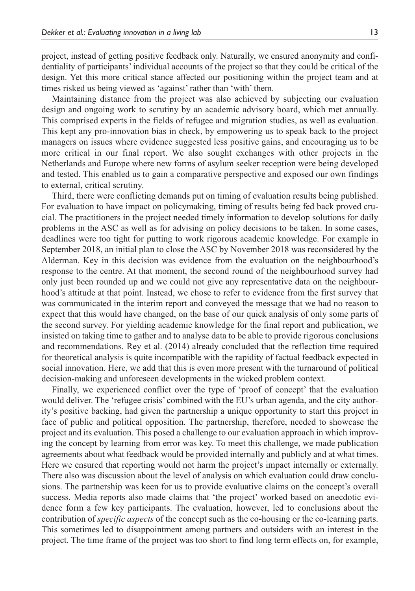project, instead of getting positive feedback only. Naturally, we ensured anonymity and confidentiality of participants' individual accounts of the project so that they could be critical of the design. Yet this more critical stance affected our positioning within the project team and at times risked us being viewed as 'against' rather than 'with' them.

Maintaining distance from the project was also achieved by subjecting our evaluation design and ongoing work to scrutiny by an academic advisory board, which met annually. This comprised experts in the fields of refugee and migration studies, as well as evaluation. This kept any pro-innovation bias in check, by empowering us to speak back to the project managers on issues where evidence suggested less positive gains, and encouraging us to be more critical in our final report. We also sought exchanges with other projects in the Netherlands and Europe where new forms of asylum seeker reception were being developed and tested. This enabled us to gain a comparative perspective and exposed our own findings to external, critical scrutiny.

Third, there were conflicting demands put on timing of evaluation results being published. For evaluation to have impact on policymaking, timing of results being fed back proved crucial. The practitioners in the project needed timely information to develop solutions for daily problems in the ASC as well as for advising on policy decisions to be taken. In some cases, deadlines were too tight for putting to work rigorous academic knowledge. For example in September 2018, an initial plan to close the ASC by November 2018 was reconsidered by the Alderman. Key in this decision was evidence from the evaluation on the neighbourhood's response to the centre. At that moment, the second round of the neighbourhood survey had only just been rounded up and we could not give any representative data on the neighbourhood's attitude at that point. Instead, we chose to refer to evidence from the first survey that was communicated in the interim report and conveyed the message that we had no reason to expect that this would have changed, on the base of our quick analysis of only some parts of the second survey. For yielding academic knowledge for the final report and publication, we insisted on taking time to gather and to analyse data to be able to provide rigorous conclusions and recommendations. Rey et al. (2014) already concluded that the reflection time required for theoretical analysis is quite incompatible with the rapidity of factual feedback expected in social innovation. Here, we add that this is even more present with the turnaround of political decision-making and unforeseen developments in the wicked problem context.

Finally, we experienced conflict over the type of 'proof of concept' that the evaluation would deliver. The 'refugee crisis' combined with the EU's urban agenda, and the city authority's positive backing, had given the partnership a unique opportunity to start this project in face of public and political opposition. The partnership, therefore, needed to showcase the project and its evaluation. This posed a challenge to our evaluation approach in which improving the concept by learning from error was key. To meet this challenge, we made publication agreements about what feedback would be provided internally and publicly and at what times. Here we ensured that reporting would not harm the project's impact internally or externally. There also was discussion about the level of analysis on which evaluation could draw conclusions. The partnership was keen for us to provide evaluative claims on the concept's overall success. Media reports also made claims that 'the project' worked based on anecdotic evidence form a few key participants. The evaluation, however, led to conclusions about the contribution of *specific aspects* of the concept such as the co-housing or the co-learning parts. This sometimes led to disappointment among partners and outsiders with an interest in the project. The time frame of the project was too short to find long term effects on, for example,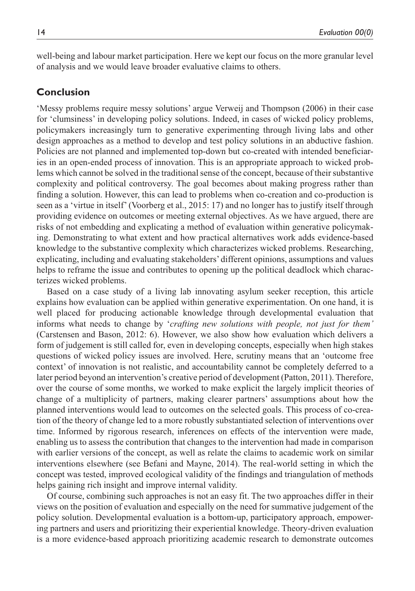well-being and labour market participation. Here we kept our focus on the more granular level of analysis and we would leave broader evaluative claims to others.

## **Conclusion**

'Messy problems require messy solutions' argue Verweij and Thompson (2006) in their case for 'clumsiness' in developing policy solutions. Indeed, in cases of wicked policy problems, policymakers increasingly turn to generative experimenting through living labs and other design approaches as a method to develop and test policy solutions in an abductive fashion. Policies are not planned and implemented top-down but co-created with intended beneficiaries in an open-ended process of innovation. This is an appropriate approach to wicked problems which cannot be solved in the traditional sense of the concept, because of their substantive complexity and political controversy. The goal becomes about making progress rather than finding a solution. However, this can lead to problems when co-creation and co-production is seen as a 'virtue in itself' (Voorberg et al., 2015: 17) and no longer has to justify itself through providing evidence on outcomes or meeting external objectives. As we have argued, there are risks of not embedding and explicating a method of evaluation within generative policymaking. Demonstrating to what extent and how practical alternatives work adds evidence-based knowledge to the substantive complexity which characterizes wicked problems. Researching, explicating, including and evaluating stakeholders' different opinions, assumptions and values helps to reframe the issue and contributes to opening up the political deadlock which characterizes wicked problems.

Based on a case study of a living lab innovating asylum seeker reception, this article explains how evaluation can be applied within generative experimentation. On one hand, it is well placed for producing actionable knowledge through developmental evaluation that informs what needs to change by '*crafting new solutions with people, not just for them'* (Carstensen and Bason, 2012: 6). However, we also show how evaluation which delivers a form of judgement is still called for, even in developing concepts, especially when high stakes questions of wicked policy issues are involved. Here, scrutiny means that an 'outcome free context' of innovation is not realistic, and accountability cannot be completely deferred to a later period beyond an intervention's creative period of development (Patton, 2011). Therefore, over the course of some months, we worked to make explicit the largely implicit theories of change of a multiplicity of partners, making clearer partners' assumptions about how the planned interventions would lead to outcomes on the selected goals. This process of co-creation of the theory of change led to a more robustly substantiated selection of interventions over time. Informed by rigorous research, inferences on effects of the intervention were made, enabling us to assess the contribution that changes to the intervention had made in comparison with earlier versions of the concept, as well as relate the claims to academic work on similar interventions elsewhere (see Befani and Mayne, 2014). The real-world setting in which the concept was tested, improved ecological validity of the findings and triangulation of methods helps gaining rich insight and improve internal validity.

Of course, combining such approaches is not an easy fit. The two approaches differ in their views on the position of evaluation and especially on the need for summative judgement of the policy solution. Developmental evaluation is a bottom-up, participatory approach, empowering partners and users and prioritizing their experiential knowledge. Theory-driven evaluation is a more evidence-based approach prioritizing academic research to demonstrate outcomes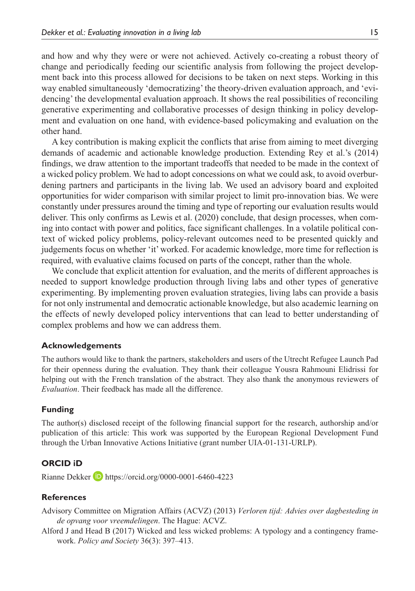and how and why they were or were not achieved. Actively co-creating a robust theory of change and periodically feeding our scientific analysis from following the project development back into this process allowed for decisions to be taken on next steps. Working in this way enabled simultaneously 'democratizing' the theory-driven evaluation approach, and 'evidencing' the developmental evaluation approach. It shows the real possibilities of reconciling generative experimenting and collaborative processes of design thinking in policy development and evaluation on one hand, with evidence-based policymaking and evaluation on the other hand.

A key contribution is making explicit the conflicts that arise from aiming to meet diverging demands of academic and actionable knowledge production. Extending Rey et al.'s (2014) findings, we draw attention to the important tradeoffs that needed to be made in the context of a wicked policy problem. We had to adopt concessions on what we could ask, to avoid overburdening partners and participants in the living lab. We used an advisory board and exploited opportunities for wider comparison with similar project to limit pro-innovation bias. We were constantly under pressures around the timing and type of reporting our evaluation results would deliver. This only confirms as Lewis et al. (2020) conclude, that design processes, when coming into contact with power and politics, face significant challenges. In a volatile political context of wicked policy problems, policy-relevant outcomes need to be presented quickly and judgements focus on whether 'it' worked. For academic knowledge, more time for reflection is required, with evaluative claims focused on parts of the concept, rather than the whole.

We conclude that explicit attention for evaluation, and the merits of different approaches is needed to support knowledge production through living labs and other types of generative experimenting. By implementing proven evaluation strategies, living labs can provide a basis for not only instrumental and democratic actionable knowledge, but also academic learning on the effects of newly developed policy interventions that can lead to better understanding of complex problems and how we can address them.

#### **Acknowledgements**

The authors would like to thank the partners, stakeholders and users of the Utrecht Refugee Launch Pad for their openness during the evaluation. They thank their colleague Yousra Rahmouni Elidrissi for helping out with the French translation of the abstract. They also thank the anonymous reviewers of *Evaluation*. Their feedback has made all the difference.

#### **Funding**

The author(s) disclosed receipt of the following financial support for the research, authorship and/or publication of this article: This work was supported by the European Regional Development Fund through the Urban Innovative Actions Initiative (grant number UIA-01-131-URLP).

#### **ORCID iD**

Rianne Dekker **b** <https://orcid.org/0000-0001-6460-4223>

#### **References**

Advisory Committee on Migration Affairs (ACVZ) (2013) *Verloren tijd: Advies over dagbesteding in de opvang voor vreemdelingen*. The Hague: ACVZ.

Alford J and Head B (2017) Wicked and less wicked problems: A typology and a contingency framework. *Policy and Society* 36(3): 397–413.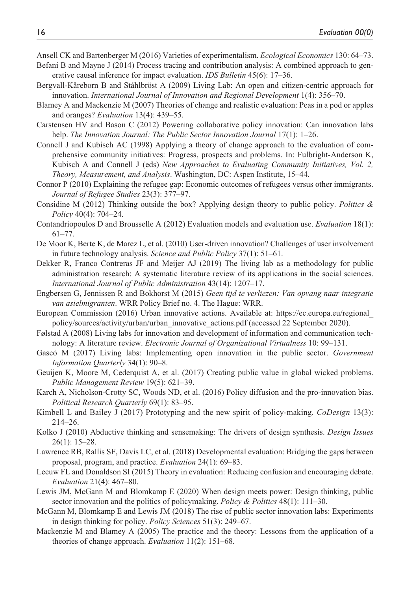- Ansell CK and Bartenberger M (2016) Varieties of experimentalism. *Ecological Economics* 130: 64–73.
- Befani B and Mayne J (2014) Process tracing and contribution analysis: A combined approach to generative causal inference for impact evaluation. *IDS Bulletin* 45(6): 17–36.
- Bergvall-Kåreborn B and Ståhlbröst A (2009) Living Lab: An open and citizen-centric approach for innovation. *International Journal of Innovation and Regional Development* 1(4): 356–70.
- Blamey A and Mackenzie M (2007) Theories of change and realistic evaluation: Peas in a pod or apples and oranges? *Evaluation* 13(4): 439–55.
- Carstensen HV and Bason C (2012) Powering collaborative policy innovation: Can innovation labs help. *The Innovation Journal: The Public Sector Innovation Journal* 17(1): 1–26.
- Connell J and Kubisch AC (1998) Applying a theory of change approach to the evaluation of comprehensive community initiatives: Progress, prospects and problems. In: Fulbright-Anderson K, Kubisch A and Connell J (eds) *New Approaches to Evaluating Community Initiatives, Vol. 2, Theory, Measurement, and Analysis*. Washington, DC: Aspen Institute, 15–44.
- Connor P (2010) Explaining the refugee gap: Economic outcomes of refugees versus other immigrants. *Journal of Refugee Studies* 23(3): 377–97.
- Considine M (2012) Thinking outside the box? Applying design theory to public policy. *Politics & Policy* 40(4): 704–24.
- Contandriopoulos D and Brousselle A (2012) Evaluation models and evaluation use. *Evaluation* 18(1): 61–77.
- De Moor K, Berte K, de Marez L, et al. (2010) User-driven innovation? Challenges of user involvement in future technology analysis. *Science and Public Policy* 37(1): 51–61.
- Dekker R, Franco Contreras JF and Meijer AJ (2019) The living lab as a methodology for public administration research: A systematic literature review of its applications in the social sciences. *International Journal of Public Administration* 43(14): 1207–17.
- Engbersen G, Jennissen R and Bokhorst M (2015) *Geen tijd te verliezen: Van opvang naar integratie van asielmigranten*. WRR Policy Brief no. 4. The Hague: WRR.
- European Commission (2016) Urban innovative actions. Available at: [https://ec.europa.eu/regional\\_](https://ec.europa.eu/regional_policy/sources/activity/urban/urban_innovative_actions.pdf) [policy/sources/activity/urban/urban\\_innovative\\_actions.pdf](https://ec.europa.eu/regional_policy/sources/activity/urban/urban_innovative_actions.pdf) (accessed 22 September 2020).
- Følstad A (2008) Living labs for innovation and development of information and communication technology: A literature review. *Electronic Journal of Organizational Virtualness* 10: 99–131.
- Gascó M (2017) Living labs: Implementing open innovation in the public sector. *Government Information Quarterly* 34(1): 90–8.
- Geuijen K, Moore M, Cederquist A, et al. (2017) Creating public value in global wicked problems. *Public Management Review* 19(5): 621–39.
- Karch A, Nicholson-Crotty SC, Woods ND, et al. (2016) Policy diffusion and the pro-innovation bias. *Political Research Quarterly* 69(1): 83–95.
- Kimbell L and Bailey J (2017) Prototyping and the new spirit of policy-making. *CoDesign* 13(3): 214–26.
- Kolko J (2010) Abductive thinking and sensemaking: The drivers of design synthesis. *Design Issues* 26(1): 15–28.
- Lawrence RB, Rallis SF, Davis LC, et al. (2018) Developmental evaluation: Bridging the gaps between proposal, program, and practice. *Evaluation* 24(1): 69–83.
- Leeuw FL and Donaldson SI (2015) Theory in evaluation: Reducing confusion and encouraging debate. *Evaluation* 21(4): 467–80.
- Lewis JM, McGann M and Blomkamp E (2020) When design meets power: Design thinking, public sector innovation and the politics of policymaking. *Policy & Politics* 48(1): 111–30.
- McGann M, Blomkamp E and Lewis JM (2018) The rise of public sector innovation labs: Experiments in design thinking for policy. *Policy Sciences* 51(3): 249–67.
- Mackenzie M and Blamey A (2005) The practice and the theory: Lessons from the application of a theories of change approach. *Evaluation* 11(2): 151–68.